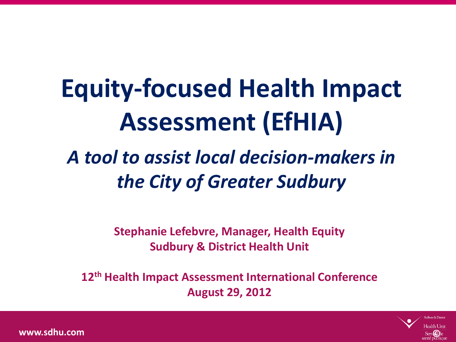# **Equity-focused Health Impact Assessment (EfHIA)**

#### *A tool to assist local decision-makers in the City of Greater Sudbury*

**Stephanie Lefebvre, Manager, Health Equity Sudbury & District Health Unit**

**12th Health Impact Assessment International Conference August 29, 2012**

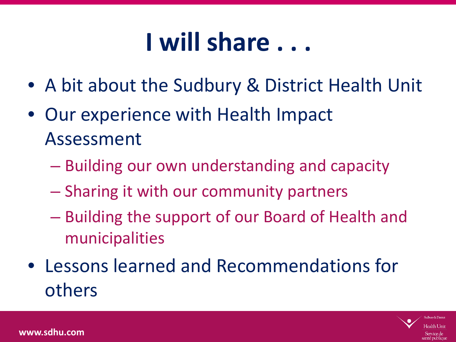#### **SUBBURY & DISTRICT HEALTH UNITED I will share . . .**

- A bit about the Sudbury & District Health Unit
- Our experience with Health Impact Assessment
	- Building our own understanding and capacity
	- Sharing it with our community partners
	- Building the support of our Board of Health and municipalities
- Lessons learned and Recommendations for others

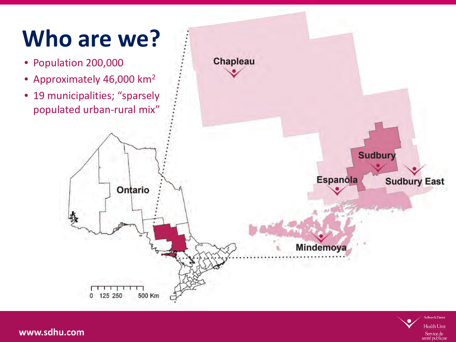## **Who are we?**

- Population 200,000
- Approximately 46,000 km2
- 19 municipalities; "sparsely populated urban-rural mix"



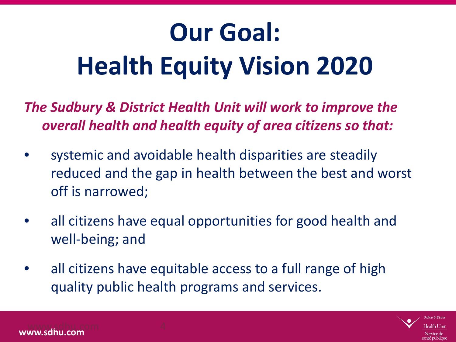# **Our Goal: Health Equity Vision 2020**

*The Sudbury & District Health Unit will work to improve the overall health and health equity of area citizens so that:*

- systemic and avoidable health disparities are steadily reduced and the gap in health between the best and worst off is narrowed;
- all citizens have equal opportunities for good health and well-being; and
- all citizens have equitable access to a full range of high quality public health programs and services.

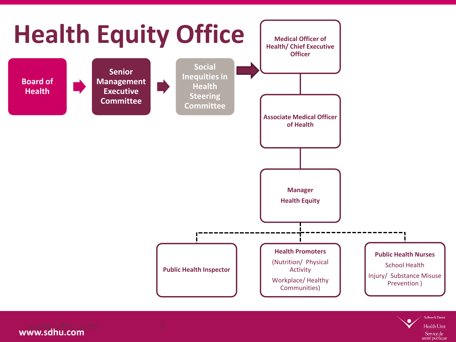

**www.sdhu.com** www.sdhu.com 5

**Health Unit** Service de santé publique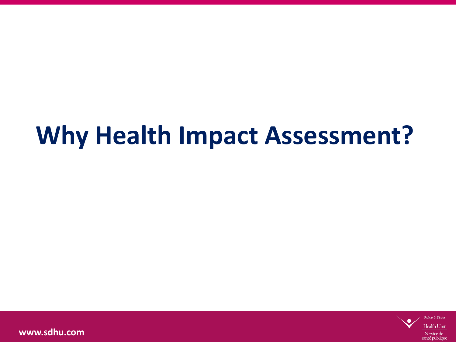## **Why Health Impact Assessment?**

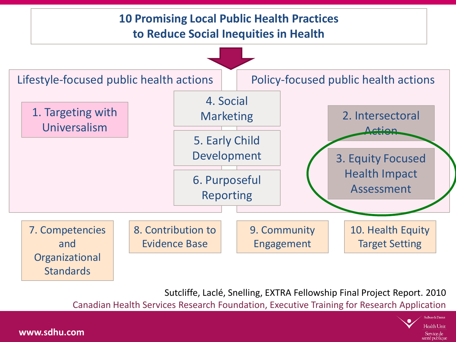

Sutcliffe, Laclé, Snelling, EXTRA Fellowship Final Project Report. 2010

Canadian Health Services Research Foundation, Executive Training for Research Application

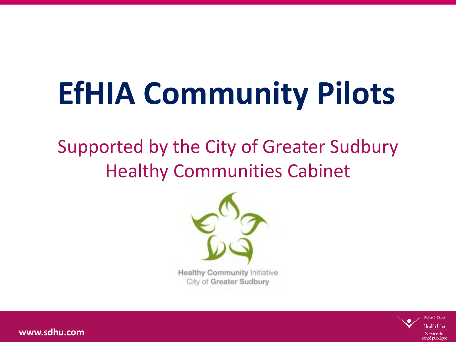# **EfHIA Community Pilots**

#### Supported by the City of Greater Sudbury Healthy Communities Cabinet



**Healthy Community Initiative** City of Greater Sudbury

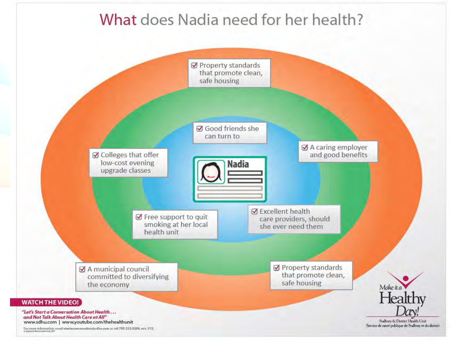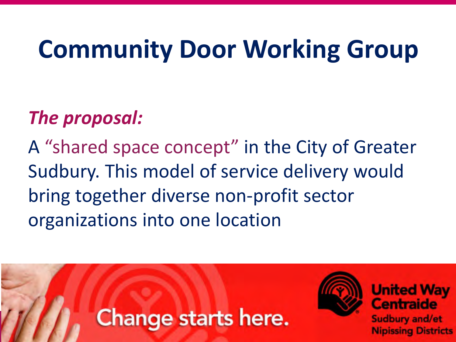## **Community Door Working Group**

#### *The proposal:*

A "shared space concept" in the City of Greater Sudbury. This model of service delivery would bring together diverse non-profit sector organizations into one location

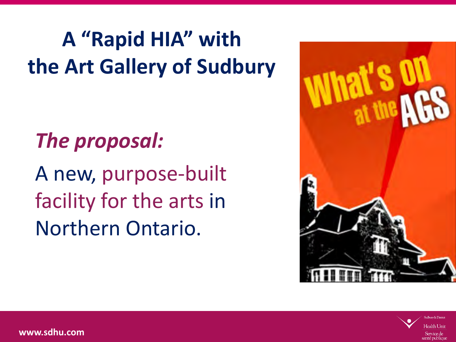## A "Rapid HIA" with **the Art Gallery of Sudbury**

### *The proposal:*

A new, purpose-built facility for the arts in Northern Ontario.



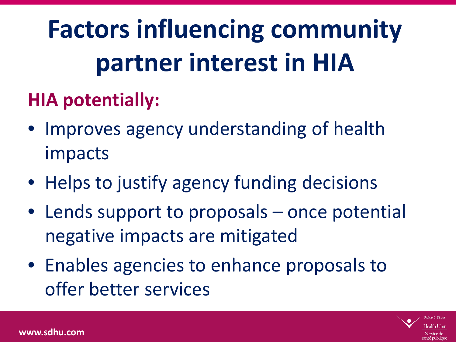# **Factors influencing community partner interest in HIA**

#### **HIA potentially:**

- Improves agency understanding of health impacts
- Helps to justify agency funding decisions
- Lends support to proposals once potential negative impacts are mitigated
- Enables agencies to enhance proposals to offer better services

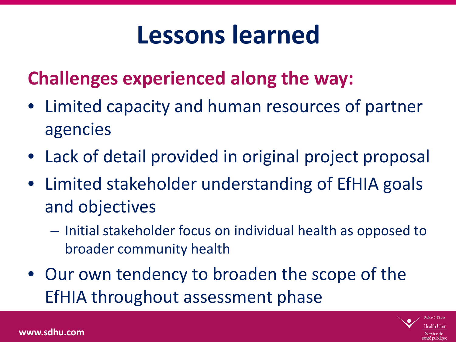## **Lessons learned**

#### **Challenges experienced along the way:**

- Limited capacity and human resources of partner agencies
- Lack of detail provided in original project proposal
- Limited stakeholder understanding of EfHIA goals and objectives
	- Initial stakeholder focus on individual health as opposed to broader community health
- Our own tendency to broaden the scope of the EfHIA throughout assessment phase

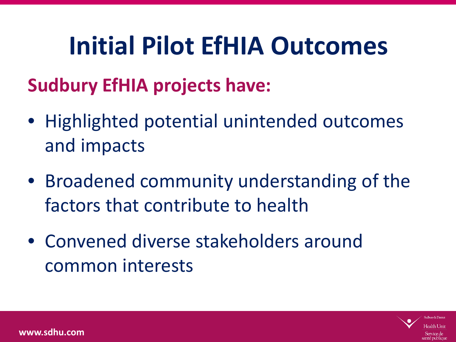## **Initial Pilot EfHIA Outcomes**

#### **Sudbury EfHIA projects have:**

- Highlighted potential unintended outcomes and impacts
- Broadened community understanding of the factors that contribute to health
- Convened diverse stakeholders around common interests

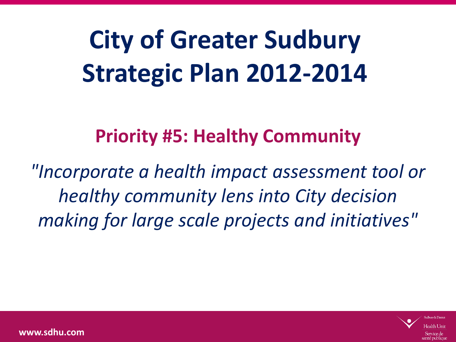# **City of Greater Sudbury Strategic Plan 2012-2014**

#### **Priority #5: Healthy Community**

*"Incorporate a health impact assessment tool or healthy community lens into City decision making for large scale projects and initiatives"*

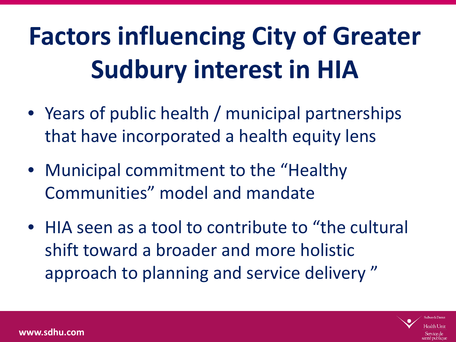# **Factors influencing City of Greater Sudbury interest in HIA**

- Years of public health / municipal partnerships that have incorporated a health equity lens
- Municipal commitment to the "Healthy Communities" model and mandate
- HIA seen as a tool to contribute to "the cultural shift toward a broader and more holistic approach to planning and service delivery "

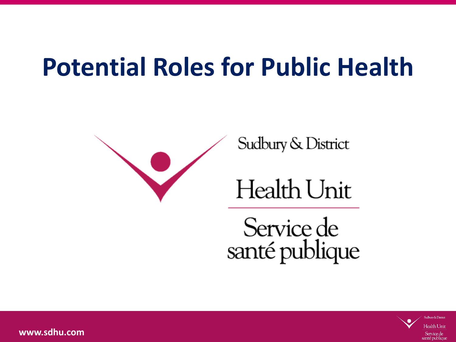## **Potential Roles for Public Health**



Service de santé publique

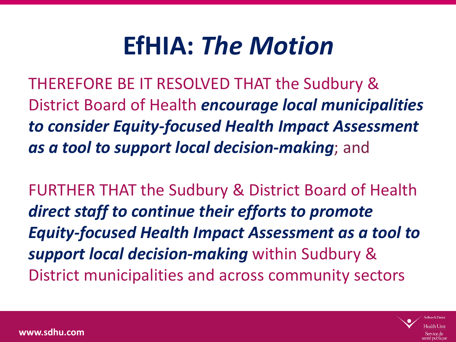## **EfHIA:** *The Motion*

THEREFORE BE IT RESOLVED THAT the Sudbury & District Board of Health *encourage local municipalities to consider Equity-focused Health Impact Assessment as a tool to support local decision-making*; and

FURTHER THAT the Sudbury & District Board of Health *direct staff to continue their efforts to promote Equity-focused Health Impact Assessment as a tool to support local decision-making* within Sudbury & District municipalities and across community sectors

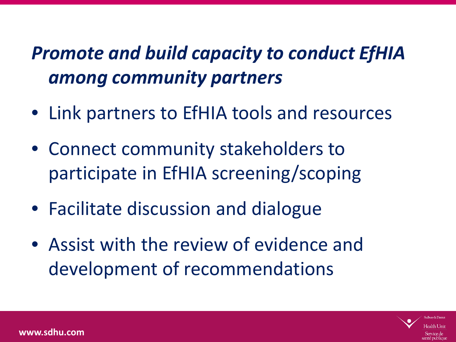#### *Promote and build capacity to conduct EfHIA among community partners*

- Link partners to EfHIA tools and resources
- Connect community stakeholders to participate in EfHIA screening/scoping
- Facilitate discussion and dialogue
- Assist with the review of evidence and development of recommendations

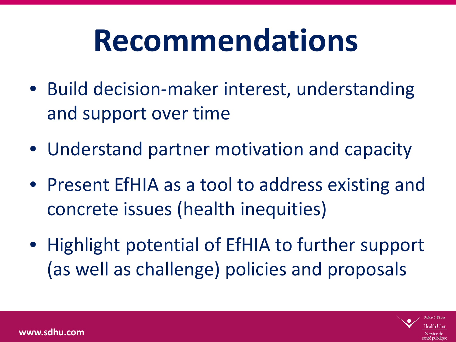# **Recommendations**

- Build decision-maker interest, understanding and support over time
- Understand partner motivation and capacity
- Present EfHIA as a tool to address existing and concrete issues (health inequities)
- Highlight potential of EfHIA to further support (as well as challenge) policies and proposals

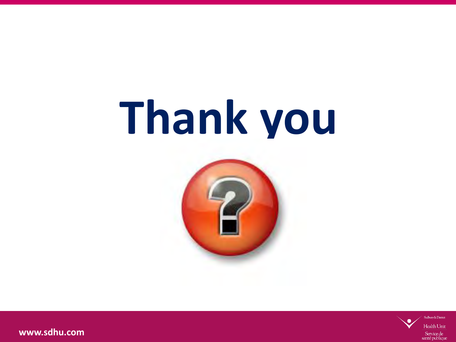# **Thank you**